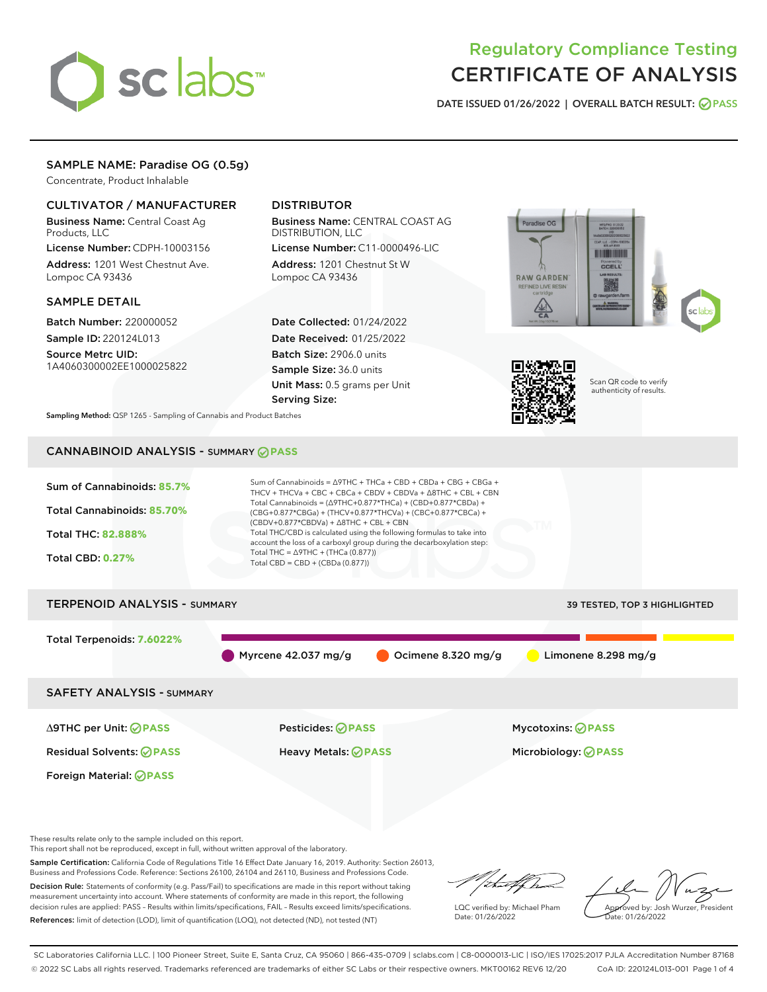

# Regulatory Compliance Testing CERTIFICATE OF ANALYSIS

DATE ISSUED 01/26/2022 | OVERALL BATCH RESULT: @ PASS

# SAMPLE NAME: Paradise OG (0.5g)

Concentrate, Product Inhalable

# CULTIVATOR / MANUFACTURER

Business Name: Central Coast Ag Products, LLC

License Number: CDPH-10003156 Address: 1201 West Chestnut Ave. Lompoc CA 93436

### SAMPLE DETAIL

Batch Number: 220000052 Sample ID: 220124L013

Source Metrc UID: 1A4060300002EE1000025822

# DISTRIBUTOR

Business Name: CENTRAL COAST AG DISTRIBUTION, LLC License Number: C11-0000496-LIC

Address: 1201 Chestnut St W Lompoc CA 93436

Date Collected: 01/24/2022 Date Received: 01/25/2022 Batch Size: 2906.0 units Sample Size: 36.0 units Unit Mass: 0.5 grams per Unit Serving Size:





Scan QR code to verify authenticity of results.

Sampling Method: QSP 1265 - Sampling of Cannabis and Product Batches

# CANNABINOID ANALYSIS - SUMMARY **PASS**



This report shall not be reproduced, except in full, without written approval of the laboratory.

Sample Certification: California Code of Regulations Title 16 Effect Date January 16, 2019. Authority: Section 26013, Business and Professions Code. Reference: Sections 26100, 26104 and 26110, Business and Professions Code.

Decision Rule: Statements of conformity (e.g. Pass/Fail) to specifications are made in this report without taking measurement uncertainty into account. Where statements of conformity are made in this report, the following decision rules are applied: PASS – Results within limits/specifications, FAIL – Results exceed limits/specifications. References: limit of detection (LOD), limit of quantification (LOQ), not detected (ND), not tested (NT)

that f ha

LQC verified by: Michael Pham Date: 01/26/2022

Approved by: Josh Wurzer, President Date: 01/26/2022

SC Laboratories California LLC. | 100 Pioneer Street, Suite E, Santa Cruz, CA 95060 | 866-435-0709 | sclabs.com | C8-0000013-LIC | ISO/IES 17025:2017 PJLA Accreditation Number 87168 © 2022 SC Labs all rights reserved. Trademarks referenced are trademarks of either SC Labs or their respective owners. MKT00162 REV6 12/20 CoA ID: 220124L013-001 Page 1 of 4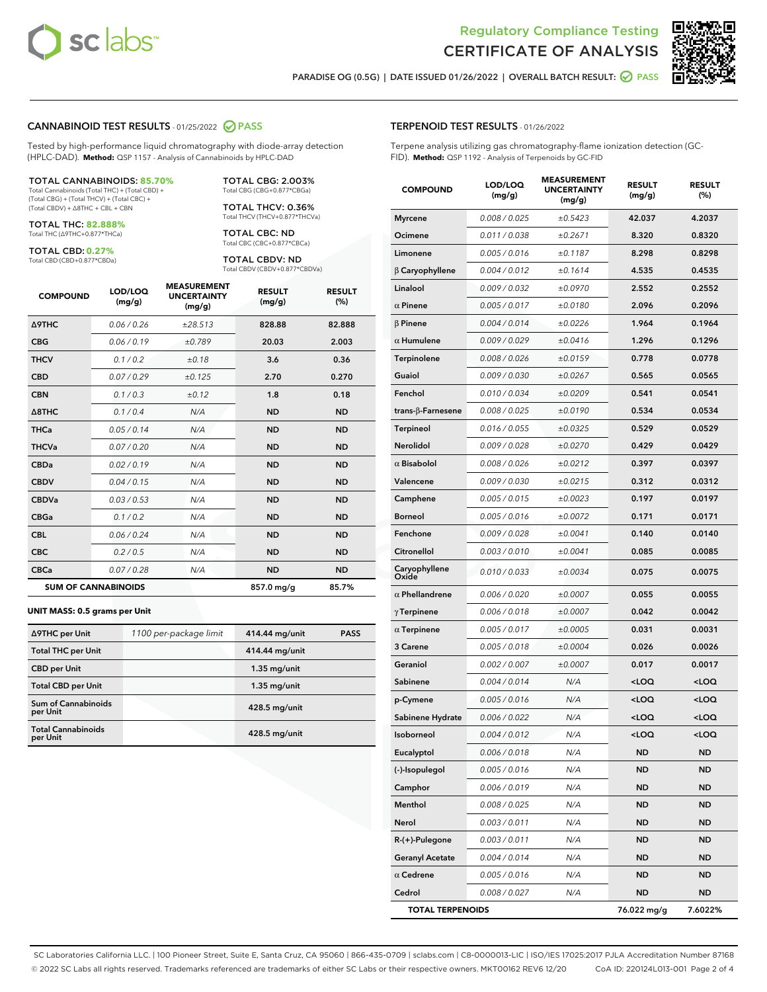



PARADISE OG (0.5G) | DATE ISSUED 01/26/2022 | OVERALL BATCH RESULT:  $\bigcirc$  PASS

### CANNABINOID TEST RESULTS - 01/25/2022 2 PASS

Tested by high-performance liquid chromatography with diode-array detection (HPLC-DAD). **Method:** QSP 1157 - Analysis of Cannabinoids by HPLC-DAD

#### TOTAL CANNABINOIDS: **85.70%**

Total Cannabinoids (Total THC) + (Total CBD) + (Total CBG) + (Total THCV) + (Total CBC) + (Total CBDV) + ∆8THC + CBL + CBN

TOTAL THC: **82.888%** Total THC (∆9THC+0.877\*THCa)

TOTAL CBD: **0.27%**

Total CBD (CBD+0.877\*CBDa)

TOTAL CBG: 2.003% Total CBG (CBG+0.877\*CBGa)

TOTAL THCV: 0.36% Total THCV (THCV+0.877\*THCVa)

TOTAL CBC: ND Total CBC (CBC+0.877\*CBCa)

TOTAL CBDV: ND Total CBDV (CBDV+0.877\*CBDVa)

| <b>COMPOUND</b>  | LOD/LOQ<br>(mg/g)          | <b>MEASUREMENT</b><br><b>UNCERTAINTY</b><br>(mg/g) | <b>RESULT</b><br>(mg/g) | <b>RESULT</b><br>(%) |
|------------------|----------------------------|----------------------------------------------------|-------------------------|----------------------|
| <b>A9THC</b>     | 0.06 / 0.26                | ±28.513                                            | 828.88                  | 82.888               |
| <b>CBG</b>       | 0.06/0.19                  | ±0.789                                             | 20.03                   | 2.003                |
| <b>THCV</b>      | 0.1 / 0.2                  | ±0.18                                              | 3.6                     | 0.36                 |
| <b>CBD</b>       | 0.07/0.29                  | ±0.125                                             | 2.70                    | 0.270                |
| <b>CBN</b>       | 0.1 / 0.3                  | ±0.12                                              | 1.8                     | 0.18                 |
| $\triangle$ 8THC | 0.1 / 0.4                  | N/A                                                | <b>ND</b>               | <b>ND</b>            |
| THCa             | 0.05/0.14                  | N/A                                                | <b>ND</b>               | <b>ND</b>            |
| <b>THCVa</b>     | 0.07/0.20                  | N/A                                                | <b>ND</b>               | <b>ND</b>            |
| <b>CBDa</b>      | 0.02/0.19                  | N/A                                                | <b>ND</b>               | <b>ND</b>            |
| <b>CBDV</b>      | 0.04 / 0.15                | N/A                                                | <b>ND</b>               | <b>ND</b>            |
| <b>CBDVa</b>     | 0.03/0.53                  | N/A                                                | <b>ND</b>               | <b>ND</b>            |
| <b>CBGa</b>      | 0.1 / 0.2                  | N/A                                                | <b>ND</b>               | <b>ND</b>            |
| <b>CBL</b>       | 0.06 / 0.24                | N/A                                                | <b>ND</b>               | <b>ND</b>            |
| <b>CBC</b>       | 0.2 / 0.5                  | N/A                                                | <b>ND</b>               | <b>ND</b>            |
| <b>CBCa</b>      | 0.07/0.28                  | N/A                                                | <b>ND</b>               | <b>ND</b>            |
|                  | <b>SUM OF CANNABINOIDS</b> |                                                    | 857.0 mg/g              | 85.7%                |

#### **UNIT MASS: 0.5 grams per Unit**

| ∆9THC per Unit                        | 1100 per-package limit | 414.44 mg/unit  | <b>PASS</b> |
|---------------------------------------|------------------------|-----------------|-------------|
| <b>Total THC per Unit</b>             |                        | 414.44 mg/unit  |             |
| <b>CBD per Unit</b>                   |                        | $1.35$ mg/unit  |             |
| <b>Total CBD per Unit</b>             |                        | $1.35$ mg/unit  |             |
| Sum of Cannabinoids<br>per Unit       |                        | $428.5$ mg/unit |             |
| <b>Total Cannabinoids</b><br>per Unit |                        | $428.5$ mg/unit |             |

| <b>COMPOUND</b>         | LOD/LOQ<br>(mg/g) | ASUREIVII<br><b>UNCERTAINTY</b><br>(mg/g) | <b>RESULT</b><br>(mg/g)                         | <b>RESULT</b><br>(%) |
|-------------------------|-------------------|-------------------------------------------|-------------------------------------------------|----------------------|
| <b>Myrcene</b>          | 0.008 / 0.025     | ±0.5423                                   | 42.037                                          | 4.2037               |
| Ocimene                 | 0.011 / 0.038     | ±0.2671                                   | 8.320                                           | 0.8320               |
| Limonene                | 0.005 / 0.016     | ±0.1187                                   | 8.298                                           | 0.8298               |
| $\beta$ Caryophyllene   | 0.004 / 0.012     | ±0.1614                                   | 4.535                                           | 0.4535               |
| Linalool                | 0.009 / 0.032     | ±0.0970                                   | 2.552                                           | 0.2552               |
| $\alpha$ Pinene         | 0.005 / 0.017     | ±0.0180                                   | 2.096                                           | 0.2096               |
| β Pinene                | 0.004 / 0.014     | ±0.0226                                   | 1.964                                           | 0.1964               |
| $\alpha$ Humulene       | 0.009/0.029       | ±0.0416                                   | 1.296                                           | 0.1296               |
| Terpinolene             | 0.008 / 0.026     | ±0.0159                                   | 0.778                                           | 0.0778               |
| Guaiol                  | 0.009 / 0.030     | ±0.0267                                   | 0.565                                           | 0.0565               |
| Fenchol                 | 0.010 / 0.034     | ±0.0209                                   | 0.541                                           | 0.0541               |
| trans-β-Farnesene       | 0.008 / 0.025     | ±0.0190                                   | 0.534                                           | 0.0534               |
| Terpineol               | 0.016 / 0.055     | ±0.0325                                   | 0.529                                           | 0.0529               |
| Nerolidol               | 0.009/0.028       | ±0.0270                                   | 0.429                                           | 0.0429               |
| $\alpha$ Bisabolol      | 0.008 / 0.026     | ±0.0212                                   | 0.397                                           | 0.0397               |
| Valencene               | 0.009 / 0.030     | ±0.0215                                   | 0.312                                           | 0.0312               |
| Camphene                | 0.005 / 0.015     | ±0.0023                                   | 0.197                                           | 0.0197               |
| <b>Borneol</b>          | 0.005 / 0.016     | ±0.0072                                   | 0.171                                           | 0.0171               |
| Fenchone                | 0.009 / 0.028     | ±0.0041                                   | 0.140                                           | 0.0140               |
| Citronellol             | 0.003 / 0.010     | ±0.0041                                   | 0.085                                           | 0.0085               |
| Caryophyllene<br>Oxide  | 0.010 / 0.033     | ±0.0034                                   | 0.075                                           | 0.0075               |
| $\alpha$ Phellandrene   | 0.006 / 0.020     | ±0.0007                                   | 0.055                                           | 0.0055               |
| $\gamma$ Terpinene      | 0.006 / 0.018     | ±0.0007                                   | 0.042                                           | 0.0042               |
| $\alpha$ Terpinene      | 0.005 / 0.017     | ±0.0005                                   | 0.031                                           | 0.0031               |
| <b>3 Carene</b>         | 0.005 / 0.018     | ±0.0004                                   | 0.026                                           | 0.0026               |
| Geraniol                | 0.002 / 0.007     | ±0.0007                                   | 0.017                                           | 0.0017               |
| Sabinene                | 0.004 / 0.014     | N/A                                       | <loq< th=""><th><loq< th=""></loq<></th></loq<> | <loq< th=""></loq<>  |
| p-Cymene                | 0.005 / 0.016     | N/A                                       | <loq< th=""><th><loq< th=""></loq<></th></loq<> | <loq< th=""></loq<>  |
| Sabinene Hydrate        | 0.006 / 0.022     | N/A                                       | <loq< th=""><th><loq< th=""></loq<></th></loq<> | <loq< th=""></loq<>  |
| Isoborneol              | 0.004 / 0.012     | N/A                                       | <loq< th=""><th><loq< th=""></loq<></th></loq<> | <loq< th=""></loq<>  |
| Eucalyptol              | 0.006 / 0.018     | N/A                                       | ND                                              | ND                   |
| (-)-Isopulegol          | 0.005 / 0.016     | N/A                                       | ND                                              | ND                   |
| Camphor                 | 0.006 / 0.019     | N/A                                       | <b>ND</b>                                       | ND                   |
| Menthol                 | 0.008 / 0.025     | N/A                                       | ND                                              | ND                   |
| Nerol                   | 0.003 / 0.011     | N/A                                       | ND                                              | ND                   |
| R-(+)-Pulegone          | 0.003 / 0.011     | N/A                                       | <b>ND</b>                                       | ND                   |
| <b>Geranyl Acetate</b>  | 0.004 / 0.014     | N/A                                       | ND                                              | ND                   |
| $\alpha$ Cedrene        | 0.005 / 0.016     | N/A                                       | ND                                              | ND                   |
| Cedrol                  | 0.008 / 0.027     | N/A                                       | <b>ND</b>                                       | ND                   |
| <b>TOTAL TERPENOIDS</b> |                   |                                           | 76.022 mg/g                                     | 7.6022%              |

SC Laboratories California LLC. | 100 Pioneer Street, Suite E, Santa Cruz, CA 95060 | 866-435-0709 | sclabs.com | C8-0000013-LIC | ISO/IES 17025:2017 PJLA Accreditation Number 87168 © 2022 SC Labs all rights reserved. Trademarks referenced are trademarks of either SC Labs or their respective owners. MKT00162 REV6 12/20 CoA ID: 220124L013-001 Page 2 of 4

# TERPENOID TEST RESULTS - 01/26/2022

Terpene analysis utilizing gas chromatography-flame ionization detection (GC-FID). **Method:** QSP 1192 - Analysis of Terpenoids by GC-FID

MEASUREMENT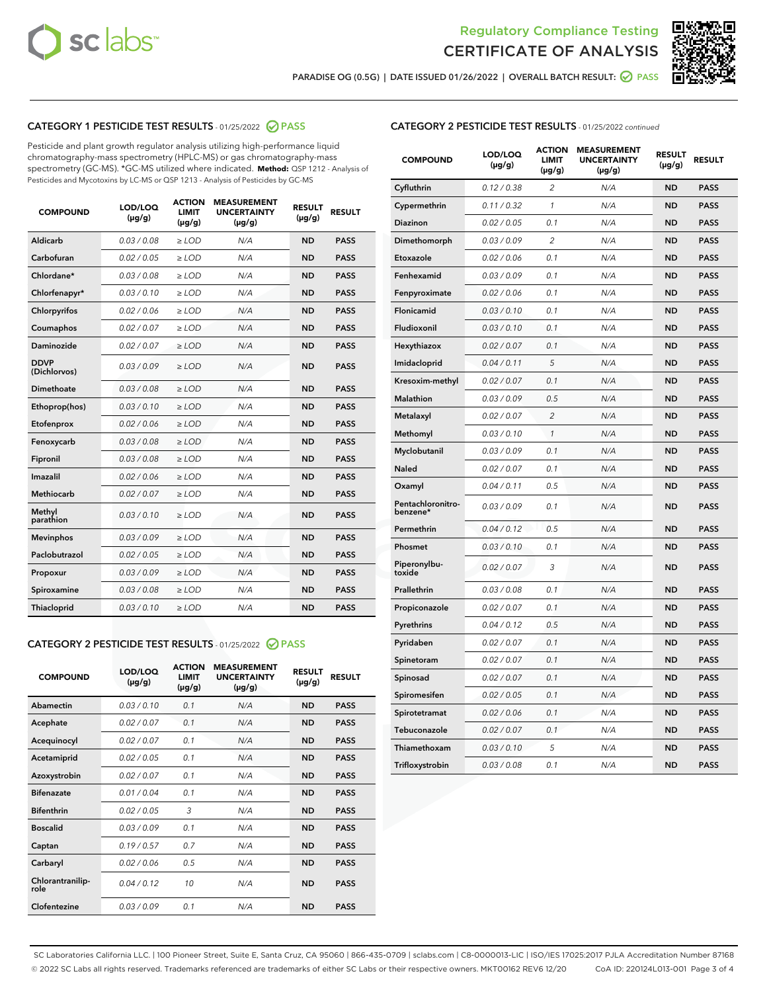



PARADISE OG (0.5G) | DATE ISSUED 01/26/2022 | OVERALL BATCH RESULT:  $\bigcirc$  PASS

# CATEGORY 1 PESTICIDE TEST RESULTS - 01/25/2022 2 PASS

Pesticide and plant growth regulator analysis utilizing high-performance liquid chromatography-mass spectrometry (HPLC-MS) or gas chromatography-mass spectrometry (GC-MS). \*GC-MS utilized where indicated. **Method:** QSP 1212 - Analysis of Pesticides and Mycotoxins by LC-MS or QSP 1213 - Analysis of Pesticides by GC-MS

| <b>COMPOUND</b>             | LOD/LOQ<br>$(\mu g/g)$ | <b>ACTION</b><br><b>LIMIT</b><br>$(\mu g/g)$ | <b>MEASUREMENT</b><br><b>UNCERTAINTY</b><br>$(\mu g/g)$ | <b>RESULT</b><br>$(\mu g/g)$ | <b>RESULT</b> |
|-----------------------------|------------------------|----------------------------------------------|---------------------------------------------------------|------------------------------|---------------|
| Aldicarb                    | 0.03/0.08              | $>$ LOD                                      | N/A                                                     | <b>ND</b>                    | <b>PASS</b>   |
| Carbofuran                  | 0.02 / 0.05            | $\ge$ LOD                                    | N/A                                                     | <b>ND</b>                    | <b>PASS</b>   |
| Chlordane*                  | 0.03 / 0.08            | $\geq$ LOD                                   | N/A                                                     | <b>ND</b>                    | <b>PASS</b>   |
| Chlorfenapyr*               | 0.03/0.10              | $\ge$ LOD                                    | N/A                                                     | <b>ND</b>                    | <b>PASS</b>   |
| Chlorpyrifos                | 0.02 / 0.06            | $\ge$ LOD                                    | N/A                                                     | <b>ND</b>                    | <b>PASS</b>   |
| Coumaphos                   | 0.02 / 0.07            | $\ge$ LOD                                    | N/A                                                     | <b>ND</b>                    | <b>PASS</b>   |
| Daminozide                  | 0.02/0.07              | $>$ LOD                                      | N/A                                                     | <b>ND</b>                    | <b>PASS</b>   |
| <b>DDVP</b><br>(Dichlorvos) | 0.03/0.09              | $\ge$ LOD                                    | N/A                                                     | <b>ND</b>                    | <b>PASS</b>   |
| <b>Dimethoate</b>           | 0.03/0.08              | $\ge$ LOD                                    | N/A                                                     | <b>ND</b>                    | <b>PASS</b>   |
| Ethoprop(hos)               | 0.03/0.10              | $\ge$ LOD                                    | N/A                                                     | <b>ND</b>                    | <b>PASS</b>   |
| Etofenprox                  | 0.02 / 0.06            | $\ge$ LOD                                    | N/A                                                     | <b>ND</b>                    | <b>PASS</b>   |
| Fenoxycarb                  | 0.03/0.08              | $\ge$ LOD                                    | N/A                                                     | <b>ND</b>                    | <b>PASS</b>   |
| Fipronil                    | 0.03/0.08              | $\ge$ LOD                                    | N/A                                                     | <b>ND</b>                    | <b>PASS</b>   |
| Imazalil                    | 0.02 / 0.06            | $>$ LOD                                      | N/A                                                     | <b>ND</b>                    | <b>PASS</b>   |
| Methiocarb                  | 0.02 / 0.07            | $>$ LOD                                      | N/A                                                     | <b>ND</b>                    | <b>PASS</b>   |
| Methyl<br>parathion         | 0.03/0.10              | $>$ LOD                                      | N/A                                                     | <b>ND</b>                    | <b>PASS</b>   |
| <b>Mevinphos</b>            | 0.03/0.09              | $\ge$ LOD                                    | N/A                                                     | <b>ND</b>                    | <b>PASS</b>   |
| Paclobutrazol               | 0.02 / 0.05            | $>$ LOD                                      | N/A                                                     | <b>ND</b>                    | <b>PASS</b>   |
| Propoxur                    | 0.03/0.09              | $\ge$ LOD                                    | N/A                                                     | <b>ND</b>                    | <b>PASS</b>   |
| Spiroxamine                 | 0.03 / 0.08            | $\ge$ LOD                                    | N/A                                                     | <b>ND</b>                    | <b>PASS</b>   |
| Thiacloprid                 | 0.03/0.10              | $\ge$ LOD                                    | N/A                                                     | <b>ND</b>                    | <b>PASS</b>   |

### CATEGORY 2 PESTICIDE TEST RESULTS - 01/25/2022 2 PASS

| <b>COMPOUND</b>          | LOD/LOO<br>$(\mu g/g)$ | <b>ACTION</b><br>LIMIT<br>$(\mu g/g)$ | <b>MEASUREMENT</b><br><b>UNCERTAINTY</b><br>$(\mu g/g)$ | <b>RESULT</b><br>$(\mu g/g)$ | <b>RESULT</b> |  |
|--------------------------|------------------------|---------------------------------------|---------------------------------------------------------|------------------------------|---------------|--|
| Abamectin                | 0.03/0.10              | 0.1                                   | N/A                                                     | <b>ND</b>                    | <b>PASS</b>   |  |
| Acephate                 | 0.02/0.07              | 0.1                                   | N/A                                                     | <b>ND</b>                    | <b>PASS</b>   |  |
| Acequinocyl              | 0.02/0.07              | 0.1                                   | N/A                                                     | <b>ND</b>                    | <b>PASS</b>   |  |
| Acetamiprid              | 0.02 / 0.05            | 0.1                                   | N/A                                                     | <b>ND</b>                    | <b>PASS</b>   |  |
| Azoxystrobin             | 0.02/0.07              | 0.1                                   | N/A                                                     | <b>ND</b>                    | <b>PASS</b>   |  |
| <b>Bifenazate</b>        | 0.01 / 0.04            | 0.1                                   | N/A                                                     | <b>ND</b>                    | <b>PASS</b>   |  |
| <b>Bifenthrin</b>        | 0.02 / 0.05            | 3                                     | N/A                                                     | <b>ND</b>                    | <b>PASS</b>   |  |
| <b>Boscalid</b>          | 0.03/0.09              | 0.1                                   | N/A                                                     | <b>ND</b>                    | <b>PASS</b>   |  |
| Captan                   | 0.19/0.57              | 0.7                                   | N/A                                                     | <b>ND</b>                    | <b>PASS</b>   |  |
| Carbaryl                 | 0.02/0.06              | 0.5                                   | N/A                                                     | <b>ND</b>                    | <b>PASS</b>   |  |
| Chlorantranilip-<br>role | 0.04/0.12              | 10                                    | N/A                                                     | <b>ND</b>                    | <b>PASS</b>   |  |
| Clofentezine             | 0.03/0.09              | 0.1                                   | N/A                                                     | <b>ND</b>                    | <b>PASS</b>   |  |

| <b>CATEGORY 2 PESTICIDE TEST RESULTS</b> - 01/25/2022 continued |
|-----------------------------------------------------------------|
|-----------------------------------------------------------------|

| <b>COMPOUND</b>               | LOD/LOQ<br>(µg/g) | <b>ACTION</b><br><b>LIMIT</b><br>$(\mu g/g)$ | <b>MEASUREMENT</b><br><b>UNCERTAINTY</b><br>$(\mu g/g)$ | <b>RESULT</b><br>(µg/g) | <b>RESULT</b> |
|-------------------------------|-------------------|----------------------------------------------|---------------------------------------------------------|-------------------------|---------------|
| Cyfluthrin                    | 0.12 / 0.38       | 2                                            | N/A                                                     | ND                      | <b>PASS</b>   |
| Cypermethrin                  | 0.11 / 0.32       | $\mathbf{1}$                                 | N/A                                                     | ND                      | <b>PASS</b>   |
| Diazinon                      | 0.02 / 0.05       | 0.1                                          | N/A                                                     | ND                      | PASS          |
| Dimethomorph                  | 0.03 / 0.09       | $\overline{2}$                               | N/A                                                     | <b>ND</b>               | <b>PASS</b>   |
| Etoxazole                     | 0.02 / 0.06       | 0.1                                          | N/A                                                     | ND                      | <b>PASS</b>   |
| Fenhexamid                    | 0.03 / 0.09       | 0.1                                          | N/A                                                     | ND                      | <b>PASS</b>   |
| Fenpyroximate                 | 0.02 / 0.06       | 0.1                                          | N/A                                                     | <b>ND</b>               | <b>PASS</b>   |
| Flonicamid                    | 0.03 / 0.10       | 0.1                                          | N/A                                                     | ND                      | <b>PASS</b>   |
| Fludioxonil                   | 0.03 / 0.10       | 0.1                                          | N/A                                                     | ND                      | <b>PASS</b>   |
| Hexythiazox                   | 0.02 / 0.07       | 0.1                                          | N/A                                                     | <b>ND</b>               | <b>PASS</b>   |
| Imidacloprid                  | 0.04 / 0.11       | 5                                            | N/A                                                     | <b>ND</b>               | <b>PASS</b>   |
| Kresoxim-methyl               | 0.02 / 0.07       | 0.1                                          | N/A                                                     | <b>ND</b>               | <b>PASS</b>   |
| <b>Malathion</b>              | 0.03 / 0.09       | 0.5                                          | N/A                                                     | ND                      | <b>PASS</b>   |
| Metalaxyl                     | 0.02 / 0.07       | $\overline{2}$                               | N/A                                                     | <b>ND</b>               | <b>PASS</b>   |
| Methomyl                      | 0.03 / 0.10       | 1                                            | N/A                                                     | <b>ND</b>               | <b>PASS</b>   |
| Myclobutanil                  | 0.03 / 0.09       | 0.1                                          | N/A                                                     | ND                      | <b>PASS</b>   |
| <b>Naled</b>                  | 0.02 / 0.07       | 0.1                                          | N/A                                                     | ND                      | <b>PASS</b>   |
| Oxamyl                        | 0.04 / 0.11       | 0.5                                          | N/A                                                     | <b>ND</b>               | <b>PASS</b>   |
| Pentachloronitro-<br>benzene* | 0.03/0.09         | 0.1                                          | N/A                                                     | ND                      | <b>PASS</b>   |
| Permethrin                    | 0.04 / 0.12       | 0.5                                          | N/A                                                     | ND                      | <b>PASS</b>   |
| Phosmet                       | 0.03/0.10         | 0.1                                          | N/A                                                     | ND                      | <b>PASS</b>   |
| Piperonylbu-<br>toxide        | 0.02 / 0.07       | 3                                            | N/A                                                     | <b>ND</b>               | <b>PASS</b>   |
| Prallethrin                   | 0.03 / 0.08       | 0.1                                          | N/A                                                     | <b>ND</b>               | <b>PASS</b>   |
| Propiconazole                 | 0.02 / 0.07       | 0.1                                          | N/A                                                     | ND                      | <b>PASS</b>   |
| Pyrethrins                    | 0.04 / 0.12       | 0.5                                          | N/A                                                     | ND                      | <b>PASS</b>   |
| Pyridaben                     | 0.02 / 0.07       | 0.1                                          | N/A                                                     | <b>ND</b>               | <b>PASS</b>   |
| Spinetoram                    | 0.02 / 0.07       | 0.1                                          | N/A                                                     | ND                      | <b>PASS</b>   |
| Spinosad                      | 0.02 / 0.07       | 0.1                                          | N/A                                                     | ND                      | <b>PASS</b>   |
| Spiromesifen                  | 0.02 / 0.05       | 0.1                                          | N/A                                                     | <b>ND</b>               | <b>PASS</b>   |
| Spirotetramat                 | 0.02 / 0.06       | 0.1                                          | N/A                                                     | ND                      | <b>PASS</b>   |
| Tebuconazole                  | 0.02 / 0.07       | 0.1                                          | N/A                                                     | ND                      | <b>PASS</b>   |
| Thiamethoxam                  | 0.03 / 0.10       | 5                                            | N/A                                                     | ND                      | <b>PASS</b>   |
| Trifloxystrobin               | 0.03 / 0.08       | 0.1                                          | N/A                                                     | <b>ND</b>               | <b>PASS</b>   |

SC Laboratories California LLC. | 100 Pioneer Street, Suite E, Santa Cruz, CA 95060 | 866-435-0709 | sclabs.com | C8-0000013-LIC | ISO/IES 17025:2017 PJLA Accreditation Number 87168 © 2022 SC Labs all rights reserved. Trademarks referenced are trademarks of either SC Labs or their respective owners. MKT00162 REV6 12/20 CoA ID: 220124L013-001 Page 3 of 4